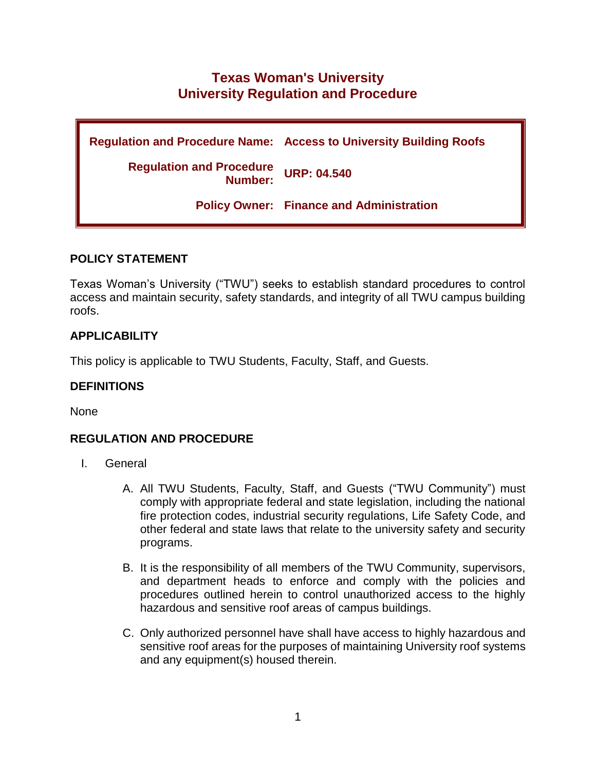# **Texas Woman's University University Regulation and Procedure**

**Regulation and Procedure Name: Access to University Building Roofs Regulation and Procedure Number: URP: 04.540 Policy Owner: Finance and Administration**

# **POLICY STATEMENT**

Texas Woman's University ("TWU") seeks to establish standard procedures to control access and maintain security, safety standards, and integrity of all TWU campus building roofs.

# **APPLICABILITY**

This policy is applicable to TWU Students, Faculty, Staff, and Guests.

### **DEFINITIONS**

None

### **REGULATION AND PROCEDURE**

- I. General
	- A. All TWU Students, Faculty, Staff, and Guests ("TWU Community") must comply with appropriate federal and state legislation, including the national fire protection codes, industrial security regulations, Life Safety Code, and other federal and state laws that relate to the university safety and security programs.
	- B. It is the responsibility of all members of the TWU Community, supervisors, and department heads to enforce and comply with the policies and procedures outlined herein to control unauthorized access to the highly hazardous and sensitive roof areas of campus buildings.
	- C. Only authorized personnel have shall have access to highly hazardous and sensitive roof areas for the purposes of maintaining University roof systems and any equipment(s) housed therein.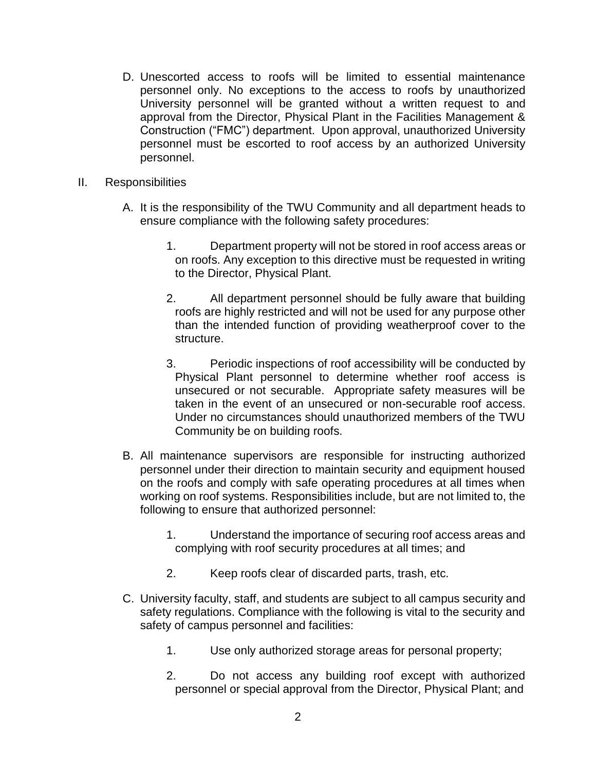- D. Unescorted access to roofs will be limited to essential maintenance personnel only. No exceptions to the access to roofs by unauthorized University personnel will be granted without a written request to and approval from the Director, Physical Plant in the Facilities Management & Construction ("FMC") department. Upon approval, unauthorized University personnel must be escorted to roof access by an authorized University personnel.
- II. Responsibilities
	- A. It is the responsibility of the TWU Community and all department heads to ensure compliance with the following safety procedures:
		- 1. Department property will not be stored in roof access areas or on roofs. Any exception to this directive must be requested in writing to the Director, Physical Plant.
		- 2. All department personnel should be fully aware that building roofs are highly restricted and will not be used for any purpose other than the intended function of providing weatherproof cover to the structure.
		- 3. Periodic inspections of roof accessibility will be conducted by Physical Plant personnel to determine whether roof access is unsecured or not securable. Appropriate safety measures will be taken in the event of an unsecured or non-securable roof access. Under no circumstances should unauthorized members of the TWU Community be on building roofs.
	- B. All maintenance supervisors are responsible for instructing authorized personnel under their direction to maintain security and equipment housed on the roofs and comply with safe operating procedures at all times when working on roof systems. Responsibilities include, but are not limited to, the following to ensure that authorized personnel:
		- 1. Understand the importance of securing roof access areas and complying with roof security procedures at all times; and
		- 2. Keep roofs clear of discarded parts, trash, etc.
	- C. University faculty, staff, and students are subject to all campus security and safety regulations. Compliance with the following is vital to the security and safety of campus personnel and facilities:
		- 1. Use only authorized storage areas for personal property;
		- 2. Do not access any building roof except with authorized personnel or special approval from the Director, Physical Plant; and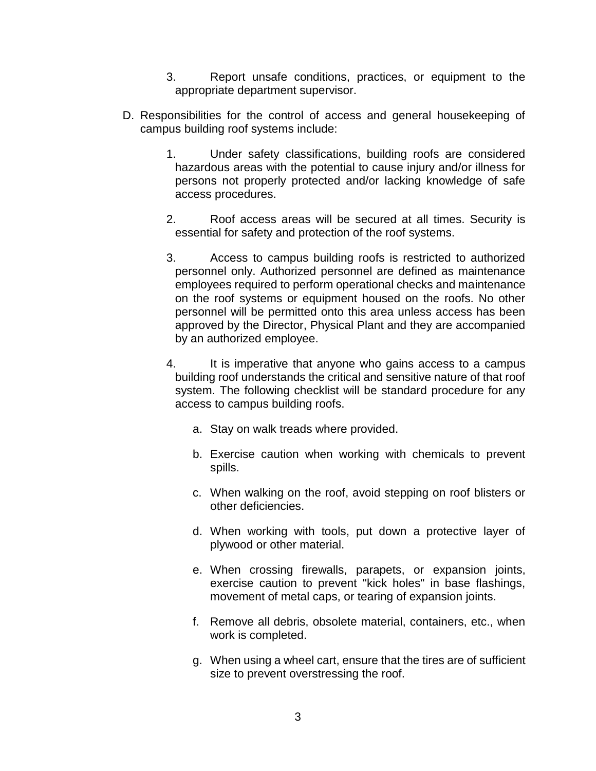- 3. Report unsafe conditions, practices, or equipment to the appropriate department supervisor.
- D. Responsibilities for the control of access and general housekeeping of campus building roof systems include:
	- 1. Under safety classifications, building roofs are considered hazardous areas with the potential to cause injury and/or illness for persons not properly protected and/or lacking knowledge of safe access procedures.
	- 2. Roof access areas will be secured at all times. Security is essential for safety and protection of the roof systems.
	- 3. Access to campus building roofs is restricted to authorized personnel only. Authorized personnel are defined as maintenance employees required to perform operational checks and maintenance on the roof systems or equipment housed on the roofs. No other personnel will be permitted onto this area unless access has been approved by the Director, Physical Plant and they are accompanied by an authorized employee.
	- 4. It is imperative that anyone who gains access to a campus building roof understands the critical and sensitive nature of that roof system. The following checklist will be standard procedure for any access to campus building roofs.
		- a. Stay on walk treads where provided.
		- b. Exercise caution when working with chemicals to prevent spills.
		- c. When walking on the roof, avoid stepping on roof blisters or other deficiencies.
		- d. When working with tools, put down a protective layer of plywood or other material.
		- e. When crossing firewalls, parapets, or expansion joints, exercise caution to prevent "kick holes" in base flashings, movement of metal caps, or tearing of expansion joints.
		- f. Remove all debris, obsolete material, containers, etc., when work is completed.
		- g. When using a wheel cart, ensure that the tires are of sufficient size to prevent overstressing the roof.